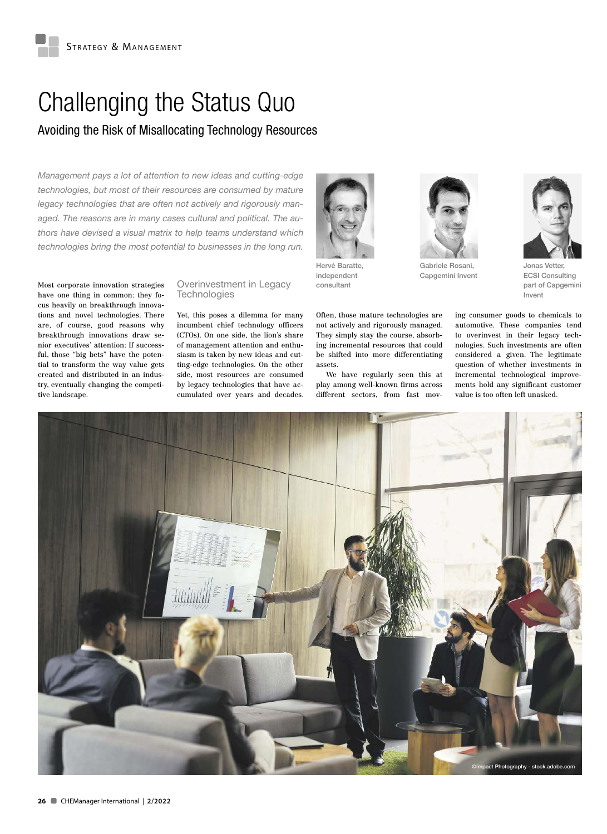# Challenging the Status Quo

## Avoiding the Risk of Misallocating Technology Resources

*Management pays a lot of attention to new ideas and cutting-edge technologies, but most of their resources are consumed by mature legacy technologies that are often not actively and rigorously managed. The reasons are in many cases cultural and political. The authors have devised a visual matrix to help teams understand which technologies bring the most potential to businesses in the long run.*

Most corporate innovation strategies have one thing in common: they focus heavily on breakthrough innovations and novel technologies. There are, of course, good reasons why breakthrough innovations draw senior executives' attention: If successful, those "big bets" have the potential to transform the way value gets created and distributed in an industry, eventually changing the competitive landscape.

#### Overinvestment in Legacy **Technologies**

Yet, this poses a dilemma for many incumbent chief technology officers (CTOs). On one side, the lion's share of management attention and enthusiasm is taken by new ideas and cutting-edge technologies. On the other side, most resources are consumed by legacy technologies that have accumulated over years and decades.



Hervé Baratte, independent consultant

Often, those mature technologies are not actively and rigorously managed. They simply stay the course, absorbing incremental resources that could be shifted into more differentiating assets.

We have regularly seen this at play among well-known firms across different sectors, from fast mov-



Gabriele Rosani, Capgemini Invent



Jonas Vetter, ECSI Consulting part of Capgemini Invent

ing consumer goods to chemicals to automotive. These companies tend to overinvest in their legacy technologies. Such investments are often considered a given. The legitimate question of whether investments in incremental technological improvements hold any significant customer value is too often left unasked.